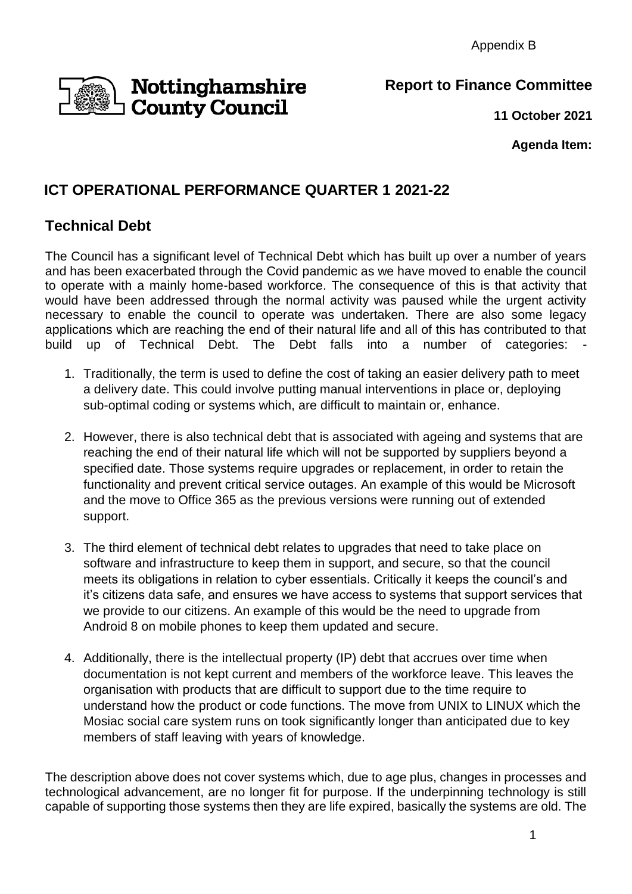Appendix B

## **Nottinghamshire**<br>D**County Council**

**Report to Finance Committee**

**11 October 2021**

**Agenda Item:**

## **ICT OPERATIONAL PERFORMANCE QUARTER 1 2021-22**

## **Technical Debt**

The Council has a significant level of Technical Debt which has built up over a number of years and has been exacerbated through the Covid pandemic as we have moved to enable the council to operate with a mainly home-based workforce. The consequence of this is that activity that would have been addressed through the normal activity was paused while the urgent activity necessary to enable the council to operate was undertaken. There are also some legacy applications which are reaching the end of their natural life and all of this has contributed to that build up of Technical Debt. The Debt falls into a number of categories:

- 1. Traditionally, the term is used to define the cost of taking an easier delivery path to meet a delivery date. This could involve putting manual interventions in place or, deploying sub-optimal coding or systems which, are difficult to maintain or, enhance.
- 2. However, there is also technical debt that is associated with ageing and systems that are reaching the end of their natural life which will not be supported by suppliers beyond a specified date. Those systems require upgrades or replacement, in order to retain the functionality and prevent critical service outages. An example of this would be Microsoft and the move to Office 365 as the previous versions were running out of extended support.
- 3. The third element of technical debt relates to upgrades that need to take place on software and infrastructure to keep them in support, and secure, so that the council meets its obligations in relation to cyber essentials. Critically it keeps the council's and it's citizens data safe, and ensures we have access to systems that support services that we provide to our citizens. An example of this would be the need to upgrade from Android 8 on mobile phones to keep them updated and secure.
- 4. Additionally, there is the intellectual property (IP) debt that accrues over time when documentation is not kept current and members of the workforce leave. This leaves the organisation with products that are difficult to support due to the time require to understand how the product or code functions. The move from UNIX to LINUX which the Mosiac social care system runs on took significantly longer than anticipated due to key members of staff leaving with years of knowledge.

The description above does not cover systems which, due to age plus, changes in processes and technological advancement, are no longer fit for purpose. If the underpinning technology is still capable of supporting those systems then they are life expired, basically the systems are old. The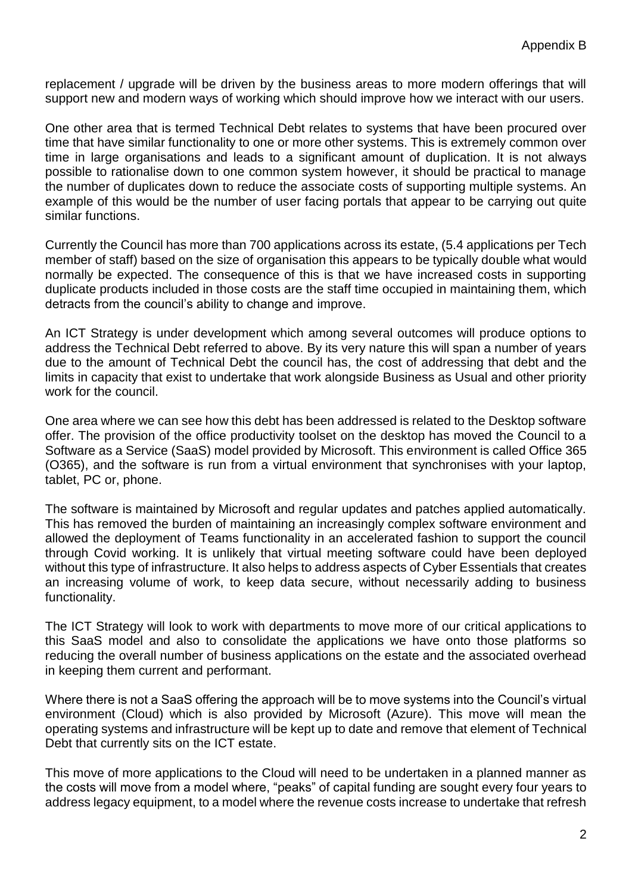replacement / upgrade will be driven by the business areas to more modern offerings that will support new and modern ways of working which should improve how we interact with our users.

One other area that is termed Technical Debt relates to systems that have been procured over time that have similar functionality to one or more other systems. This is extremely common over time in large organisations and leads to a significant amount of duplication. It is not always possible to rationalise down to one common system however, it should be practical to manage the number of duplicates down to reduce the associate costs of supporting multiple systems. An example of this would be the number of user facing portals that appear to be carrying out quite similar functions.

Currently the Council has more than 700 applications across its estate, (5.4 applications per Tech member of staff) based on the size of organisation this appears to be typically double what would normally be expected. The consequence of this is that we have increased costs in supporting duplicate products included in those costs are the staff time occupied in maintaining them, which detracts from the council's ability to change and improve.

An ICT Strategy is under development which among several outcomes will produce options to address the Technical Debt referred to above. By its very nature this will span a number of years due to the amount of Technical Debt the council has, the cost of addressing that debt and the limits in capacity that exist to undertake that work alongside Business as Usual and other priority work for the council.

One area where we can see how this debt has been addressed is related to the Desktop software offer. The provision of the office productivity toolset on the desktop has moved the Council to a Software as a Service (SaaS) model provided by Microsoft. This environment is called Office 365 (O365), and the software is run from a virtual environment that synchronises with your laptop, tablet, PC or, phone.

The software is maintained by Microsoft and regular updates and patches applied automatically. This has removed the burden of maintaining an increasingly complex software environment and allowed the deployment of Teams functionality in an accelerated fashion to support the council through Covid working. It is unlikely that virtual meeting software could have been deployed without this type of infrastructure. It also helps to address aspects of Cyber Essentials that creates an increasing volume of work, to keep data secure, without necessarily adding to business functionality.

The ICT Strategy will look to work with departments to move more of our critical applications to this SaaS model and also to consolidate the applications we have onto those platforms so reducing the overall number of business applications on the estate and the associated overhead in keeping them current and performant.

Where there is not a SaaS offering the approach will be to move systems into the Council's virtual environment (Cloud) which is also provided by Microsoft (Azure). This move will mean the operating systems and infrastructure will be kept up to date and remove that element of Technical Debt that currently sits on the ICT estate.

This move of more applications to the Cloud will need to be undertaken in a planned manner as the costs will move from a model where, "peaks" of capital funding are sought every four years to address legacy equipment, to a model where the revenue costs increase to undertake that refresh